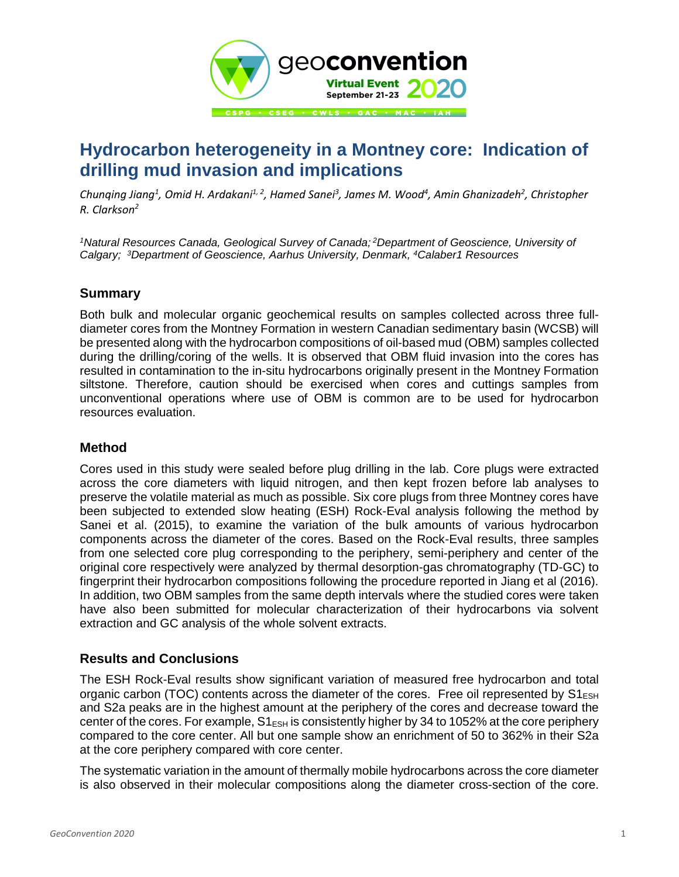

# **Hydrocarbon heterogeneity in a Montney core: Indication of drilling mud invasion and implications**

*Chunqing Jiang<sup>1</sup> , Omid H. Ardakani1, <sup>2</sup> , Hamed Sanei<sup>3</sup> , James M. Wood<sup>4</sup> , Amin Ghanizadeh<sup>2</sup> , Christopher R. Clarkson<sup>2</sup>*

*<sup>1</sup>Natural Resources Canada, Geological Survey of Canada; <sup>2</sup>Department of Geoscience, University of Calgary; <sup>3</sup>Department of Geoscience, Aarhus University, Denmark, <sup>4</sup>Calaber1 Resources*

## **Summary**

Both bulk and molecular organic geochemical results on samples collected across three fulldiameter cores from the Montney Formation in western Canadian sedimentary basin (WCSB) will be presented along with the hydrocarbon compositions of oil-based mud (OBM) samples collected during the drilling/coring of the wells. It is observed that OBM fluid invasion into the cores has resulted in contamination to the in-situ hydrocarbons originally present in the Montney Formation siltstone. Therefore, caution should be exercised when cores and cuttings samples from unconventional operations where use of OBM is common are to be used for hydrocarbon resources evaluation.

## **Method**

Cores used in this study were sealed before plug drilling in the lab. Core plugs were extracted across the core diameters with liquid nitrogen, and then kept frozen before lab analyses to preserve the volatile material as much as possible. Six core plugs from three Montney cores have been subjected to extended slow heating (ESH) Rock-Eval analysis following the method by Sanei et al. (2015), to examine the variation of the bulk amounts of various hydrocarbon components across the diameter of the cores. Based on the Rock-Eval results, three samples from one selected core plug corresponding to the periphery, semi-periphery and center of the original core respectively were analyzed by thermal desorption-gas chromatography (TD-GC) to fingerprint their hydrocarbon compositions following the procedure reported in Jiang et al (2016). In addition, two OBM samples from the same depth intervals where the studied cores were taken have also been submitted for molecular characterization of their hydrocarbons via solvent extraction and GC analysis of the whole solvent extracts.

## **Results and Conclusions**

The ESH Rock-Eval results show significant variation of measured free hydrocarbon and total organic carbon (TOC) contents across the diameter of the cores. Free oil represented by  $S1_{\text{ESH}}$ and S2a peaks are in the highest amount at the periphery of the cores and decrease toward the center of the cores. For example,  $S1_{ESH}$  is consistently higher by 34 to 1052% at the core periphery compared to the core center. All but one sample show an enrichment of 50 to 362% in their S2a at the core periphery compared with core center.

The systematic variation in the amount of thermally mobile hydrocarbons across the core diameter is also observed in their molecular compositions along the diameter cross-section of the core.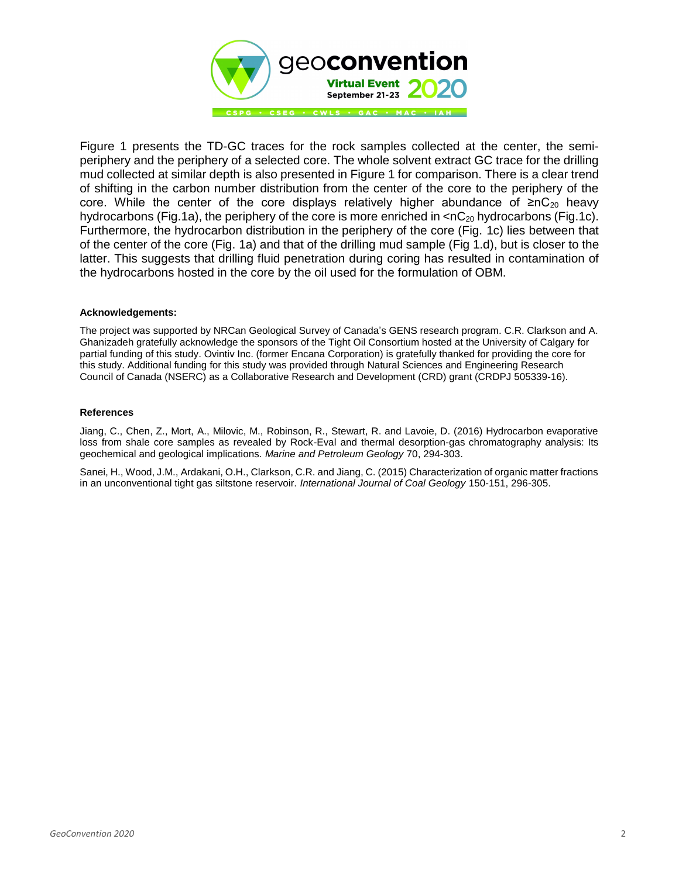

Figure 1 presents the TD-GC traces for the rock samples collected at the center, the semiperiphery and the periphery of a selected core. The whole solvent extract GC trace for the drilling mud collected at similar depth is also presented in Figure 1 for comparison. There is a clear trend of shifting in the carbon number distribution from the center of the core to the periphery of the core. While the center of the core displays relatively higher abundance of ≥nC<sub>20</sub> heavy hydrocarbons (Fig.1a), the periphery of the core is more enriched in  $\langle nC_{20}$  hydrocarbons (Fig.1c). Furthermore, the hydrocarbon distribution in the periphery of the core (Fig. 1c) lies between that of the center of the core (Fig. 1a) and that of the drilling mud sample (Fig 1.d), but is closer to the latter. This suggests that drilling fluid penetration during coring has resulted in contamination of the hydrocarbons hosted in the core by the oil used for the formulation of OBM.

#### **Acknowledgements:**

The project was supported by NRCan Geological Survey of Canada's GENS research program. C.R. Clarkson and A. Ghanizadeh gratefully acknowledge the sponsors of the Tight Oil Consortium hosted at the University of Calgary for partial funding of this study. Ovintiv Inc. (former Encana Corporation) is gratefully thanked for providing the core for this study. Additional funding for this study was provided through Natural Sciences and Engineering Research Council of Canada (NSERC) as a Collaborative Research and Development (CRD) grant (CRDPJ 505339-16).

#### **References**

Jiang, C., Chen, Z., Mort, A., Milovic, M., Robinson, R., Stewart, R. and Lavoie, D. (2016) Hydrocarbon evaporative loss from shale core samples as revealed by Rock-Eval and thermal desorption-gas chromatography analysis: Its geochemical and geological implications. *Marine and Petroleum Geology* 70, 294-303.

Sanei, H., Wood, J.M., Ardakani, O.H., Clarkson, C.R. and Jiang, C. (2015) Characterization of organic matter fractions in an unconventional tight gas siltstone reservoir. *International Journal of Coal Geology* 150-151, 296-305.